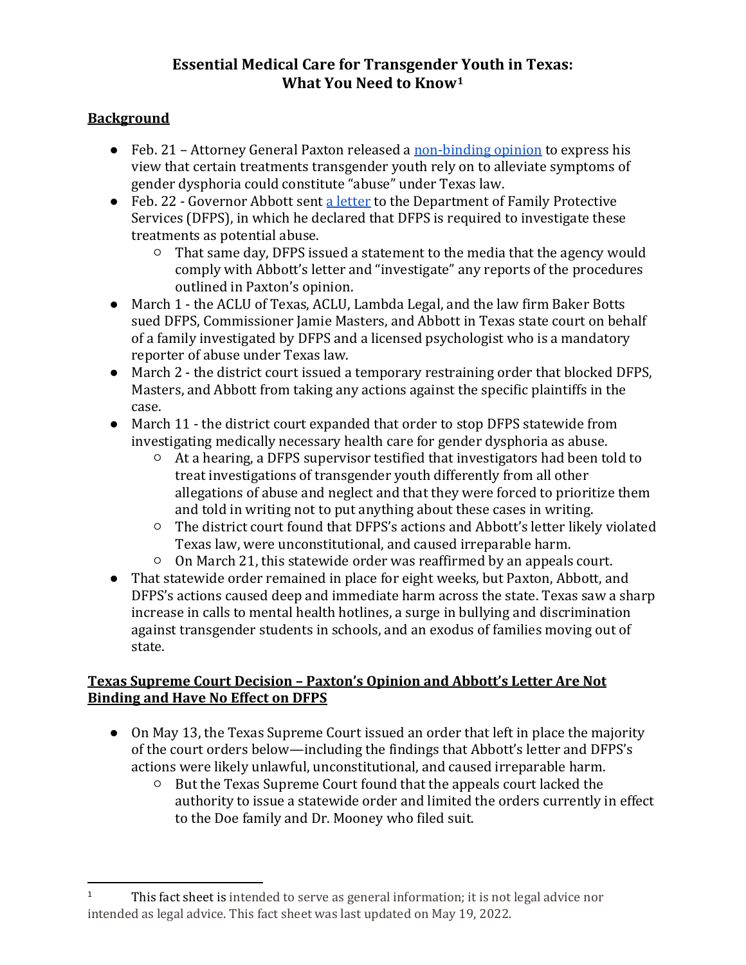# **Essential Medical Care for Transgender Youth in Texas: What You Need to Kno[w1](#page-0-0)**

## **Background**

- Feb. 21 Attorney General Paxton released a [non-binding](https://texasattorneygeneral.gov/sites/default/files/global/KP-0401.pdf) [opinion](https://texasattorneygeneral.gov/sites/default/files/global/KP-0401.pdf) to express his view that certain treatments transgender youth rely on to alleviate symptoms of gender dysphoria could constitute "abuse" under Texas law.
- Feb. 22 Governor Abbott sent [a letter](https://gov.texas.gov/uploads/files/press/O-MastersJaime202202221358.pdf) to the Department of Family Protective Services (DFPS), in which he declared that DFPS is required to investigate these treatments as potential abuse.
	- That same day, DFPS issued a statement to the media that the agency would comply with Abbott's letter and "investigate" any reports of the procedures outlined in Paxton's opinion.
- March 1 the ACLU of Texas, ACLU, Lambda Legal, and the law firm Baker Botts sued DFPS, Commissioner Jamie Masters, and Abbott in Texas state court on behalf of a family investigated by DFPS and a licensed psychologist who is a mandatory reporter of abuse under Texas law.
- March 2 the district court issued a temporary restraining order that blocked DFPS, Masters, and Abbott from taking any actions against the specific plaintiffs in the case.
- March 11 the district court expanded that order to stop DFPS statewide from investigating medically necessary health care for gender dysphoria as abuse.
	- At a hearing, a DFPS supervisor testified that investigators had been told to treat investigations of transgender youth differently from all other allegations of abuse and neglect and that they were forced to prioritize them and told in writing not to put anything about these cases in writing.
	- The district court found that DFPS's actions and Abbott's letter likely violated Texas law, were unconstitutional, and caused irreparable harm.
	- On March 21, this statewide order was reaffirmed by an appeals court.
- That statewide order remained in place for eight weeks, but Paxton, Abbott, and DFPS's actions caused deep and immediate harm across the state. Texas saw a sharp increase in calls to mental health hotlines, a surge in bullying and discrimination against transgender students in schools, and an exodus of families moving out of state.

#### **Texas Supreme Court Decision – Paxton's Opinion and Abbott's Letter Are Not Binding and Have No Effect on DFPS**

- On May 13, the Texas Supreme Court issued an order that left in place the majority of the court orders below—including the findings that Abbott's letter and DFPS's actions were likely unlawful, unconstitutional, and caused irreparable harm.
	- But the Texas Supreme Court found that the appeals court lacked the authority to issue a statewide order and limited the orders currently in effect to the Doe family and Dr. Mooney who filed suit.

<span id="page-0-0"></span><sup>1</sup> This fact sheet is intended to serve as general information; it is not legal advice nor intended as legal advice. This fact sheet was last updated on May 19, 2022.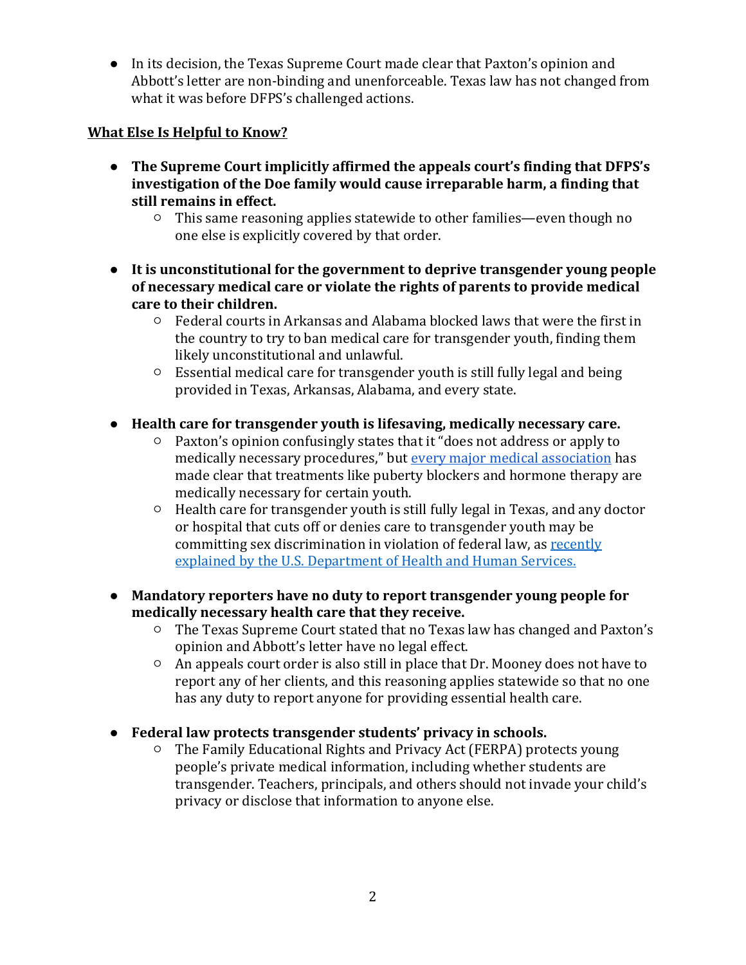● In its decision, the Texas Supreme Court made clear that Paxton's opinion and Abbott's letter are non-binding and unenforceable. Texas law has not changed from what it was before DFPS's challenged actions.

### **What Else Is Helpful to Know?**

- **The Supreme Court implicitly affirmed the appeals court's finding that DFPS's investigation of the Doe family would cause irreparable harm, a finding that still remains in effect.**
	- This same reasoning applies statewide to other families—even though no one else is explicitly covered by that order.
- **It is unconstitutional for the government to deprive transgender young people of necessary medical care or violate the rights of parents to provide medical care to their children.**
	- Federal courts in Arkansas and Alabama blocked laws that were the first in the country to try to ban medical care for transgender youth, finding them likely unconstitutional and unlawful.
	- Essential medical care for transgender youth is still fully legal and being provided in Texas, Arkansas, Alabama, and every state.
- **Health care for transgender youth is lifesaving, medically necessary care.**
	- Paxton's opinion confusingly states that it "does not address or apply to medically necessary procedures," but [every major medical association](https://www.aclu.org/news/lgbtq-rights/doctors-agree-gender-affirming-care-is-life-saving-care/) has made clear that treatments like puberty blockers and hormone therapy are medically necessary for certain youth.
	- Health care for transgender youth is still fully legal in Texas, and any doctor or hospital that cuts off or denies care to transgender youth may be committing sex discrimination in violation of federal law, as [recently](https://www.hhs.gov/sites/default/files/hhs-ocr-notice-and-guidance-gender-affirming-care.pdf)  [explained by the U.S. Department of Health and Human Services.](https://www.hhs.gov/sites/default/files/hhs-ocr-notice-and-guidance-gender-affirming-care.pdf)
- **Mandatory reporters have no duty to report transgender young people for medically necessary health care that they receive.**
	- The Texas Supreme Court stated that no Texas law has changed and Paxton's opinion and Abbott's letter have no legal effect.
	- An appeals court order is also still in place that Dr. Mooney does not have to report any of her clients, and this reasoning applies statewide so that no one has any duty to report anyone for providing essential health care.
- **Federal law protects transgender students' privacy in schools.**
	- The Family Educational Rights and Privacy Act (FERPA) protects young people's private medical information, including whether students are transgender. Teachers, principals, and others should not invade your child's privacy or disclose that information to anyone else.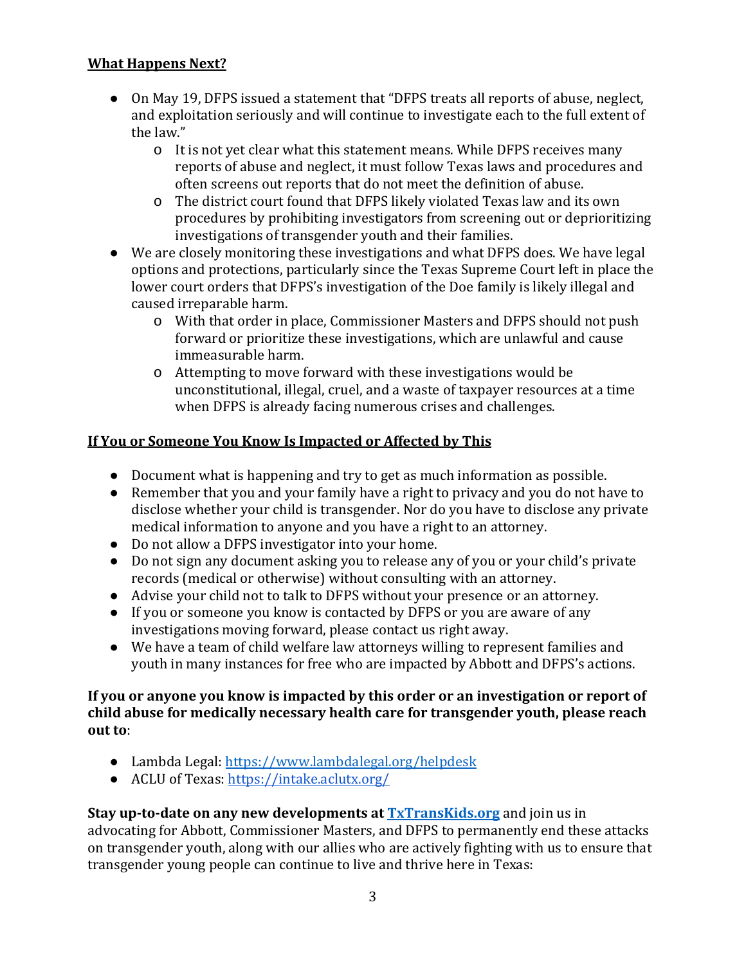## **What Happens Next?**

- On May 19, DFPS issued a statement that "DFPS treats all reports of abuse, neglect, and exploitation seriously and will continue to investigate each to the full extent of the law."
	- o It is not yet clear what this statement means. While DFPS receives many reports of abuse and neglect, it must follow Texas laws and procedures and often screens out reports that do not meet the definition of abuse.
	- o The district court found that DFPS likely violated Texas law and its own procedures by prohibiting investigators from screening out or deprioritizing investigations of transgender youth and their families.
- We are closely monitoring these investigations and what DFPS does. We have legal options and protections, particularly since the Texas Supreme Court left in place the lower court orders that DFPS's investigation of the Doe family is likely illegal and caused irreparable harm.
	- o With that order in place, Commissioner Masters and DFPS should not push forward or prioritize these investigations, which are unlawful and cause immeasurable harm.
	- o Attempting to move forward with these investigations would be unconstitutional, illegal, cruel, and a waste of taxpayer resources at a time when DFPS is already facing numerous crises and challenges.

## **If You or Someone You Know Is Impacted or Affected by This**

- Document what is happening and try to get as much information as possible.
- Remember that you and your family have a right to privacy and you do not have to disclose whether your child is transgender. Nor do you have to disclose any private medical information to anyone and you have a right to an attorney.
- Do not allow a DFPS investigator into your home.
- Do not sign any document asking you to release any of you or your child's private records (medical or otherwise) without consulting with an attorney.
- Advise your child not to talk to DFPS without your presence or an attorney.
- If you or someone you know is contacted by DFPS or you are aware of any investigations moving forward, please contact us right away.
- We have a team of child welfare law attorneys willing to represent families and youth in many instances for free who are impacted by Abbott and DFPS's actions.

#### **If you or anyone you know is impacted by this order or an investigation or report of child abuse for medically necessary health care for transgender youth, please reach out to**:

- Lambda Legal:<https://www.lambdalegal.org/helpdesk>
- ACLU of Texas:<https://intake.aclutx.org/>

#### **Stay up-to-date on any new developments at [TxTransKids.org](https://www.txtranskids.org/)** and join us in advocating for Abbott, Commissioner Masters, and DFPS to permanently end these attacks on transgender youth, along with our allies who are actively fighting with us to ensure that transgender young people can continue to live and thrive here in Texas: